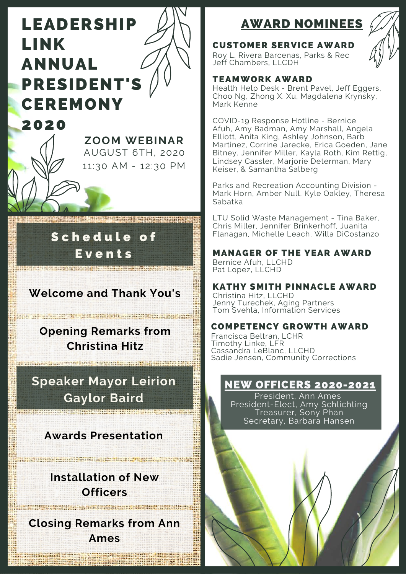# LEADERSHIP LINK ANNUAL PRESIDENT'S **CEREMONY**



## Schedule of **E**vents

## **Welcome and Thank You's**

**Opening Remarks from Christina Hitz**

<u> A Barbara de Brenne, anglice de la</u>

**Speaker Mayor Leirion Gaylor Baird**

**Awards Presentation**

**Installation of New Officers**

<u>SCONDIAN SANTE FRANCE CONTROL</u>

**Closing Remarks from Ann Ames**

No ar an ann an agus an ar an an ann.

## AWARD NOMINEES

#### CUSTOMER SERVICE AWARD

Roy L. Rivera Barcenas, Parks & Rec Jeff Chambers, LLCDH

#### TEAMWORK AWARD

Health Help Desk - Brent Pavel, Jeff Eggers, Choo Ng, Zhong X. Xu, Magdalena Krynsky, Mark Kenne

COVID-19 Response Hotline - Bernice Afuh, Amy Badman, Amy Marshall, Angela Elliott, Anita King, Ashley Johnson, Barb Martinez, Corrine Jarecke, Erica Goeden, Jane Bitney, Jennifer Miller, Kayla Roth, Kim Rettig, Lindsey Cassler, Marjorie Determan, Mary Keiser, & Samantha Salberg

Parks and Recreation Accounting Division - Mark Horn, Amber Null, Kyle Oakley, Theresa Sabatka

LTU Solid Waste Management - Tina Baker, Chris Miller, Jennifer Brinkerhoff, Juanita Flanagan, Michelle Leach, Willa DiCostanzo

MANAGER OF THE YEAR AWARD Bernice Afuh, LLCHD Pat Lopez, LLCHD

KATHY SMITH PINNACLE AWARD Christina Hitz, LLCHD

Jenny Turechek, Aging Partners Tom Svehla, Information Services

#### COMPETENCY GROWTH AWARD

Francisca Beltran, LCHR Timothy Linke, LFR Cassandra LeBlanc, LLCHD Sadie Jensen, Community Corrections

#### NEW OFFICERS 2020-2021

President, Ann Ames President-Elect, Amy Schlichting Treasurer, Sony Phan Secretary, Barbara Hansen